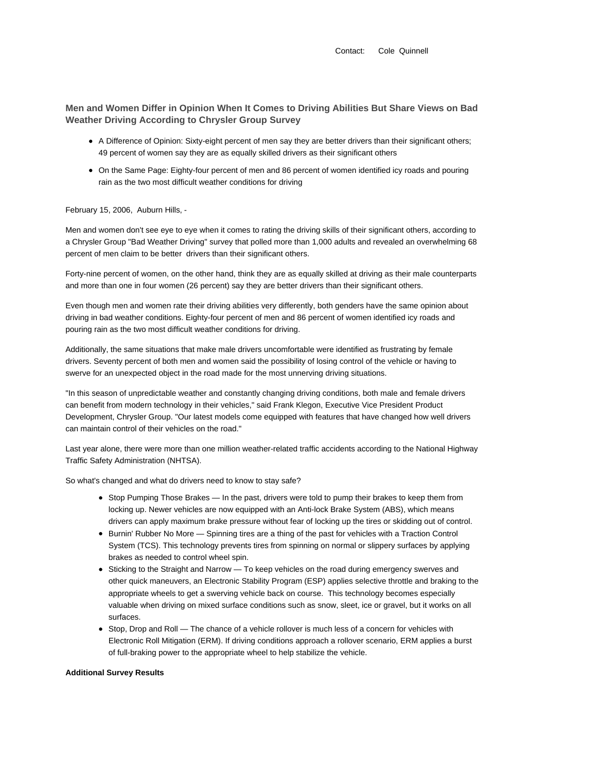Contact: Cole Quinnell

**Men and Women Differ in Opinion When It Comes to Driving Abilities But Share Views on Bad Weather Driving According to Chrysler Group Survey**

- A Difference of Opinion: Sixty-eight percent of men say they are better drivers than their significant others; 49 percent of women say they are as equally skilled drivers as their significant others
- On the Same Page: Eighty-four percent of men and 86 percent of women identified icy roads and pouring rain as the two most difficult weather conditions for driving

## February 15, 2006, Auburn Hills, -

Men and women don't see eye to eye when it comes to rating the driving skills of their significant others, according to a Chrysler Group "Bad Weather Driving" survey that polled more than 1,000 adults and revealed an overwhelming 68 percent of men claim to be better drivers than their significant others.

Forty-nine percent of women, on the other hand, think they are as equally skilled at driving as their male counterparts and more than one in four women (26 percent) say they are better drivers than their significant others.

Even though men and women rate their driving abilities very differently, both genders have the same opinion about driving in bad weather conditions. Eighty-four percent of men and 86 percent of women identified icy roads and pouring rain as the two most difficult weather conditions for driving.

Additionally, the same situations that make male drivers uncomfortable were identified as frustrating by female drivers. Seventy percent of both men and women said the possibility of losing control of the vehicle or having to swerve for an unexpected object in the road made for the most unnerving driving situations.

"In this season of unpredictable weather and constantly changing driving conditions, both male and female drivers can benefit from modern technology in their vehicles," said Frank Klegon, Executive Vice President Product Development, Chrysler Group. "Our latest models come equipped with features that have changed how well drivers can maintain control of their vehicles on the road."

Last year alone, there were more than one million weather-related traffic accidents according to the National Highway Traffic Safety Administration (NHTSA).

So what's changed and what do drivers need to know to stay safe?

- Stop Pumping Those Brakes In the past, drivers were told to pump their brakes to keep them from locking up. Newer vehicles are now equipped with an Anti-lock Brake System (ABS), which means drivers can apply maximum brake pressure without fear of locking up the tires or skidding out of control.
- Burnin' Rubber No More Spinning tires are a thing of the past for vehicles with a Traction Control System (TCS). This technology prevents tires from spinning on normal or slippery surfaces by applying brakes as needed to control wheel spin.
- Sticking to the Straight and Narrow To keep vehicles on the road during emergency swerves and other quick maneuvers, an Electronic Stability Program (ESP) applies selective throttle and braking to the appropriate wheels to get a swerving vehicle back on course. This technology becomes especially valuable when driving on mixed surface conditions such as snow, sleet, ice or gravel, but it works on all surfaces.
- Stop, Drop and Roll The chance of a vehicle rollover is much less of a concern for vehicles with Electronic Roll Mitigation (ERM). If driving conditions approach a rollover scenario, ERM applies a burst of full-braking power to the appropriate wheel to help stabilize the vehicle.

## **Additional Survey Results**